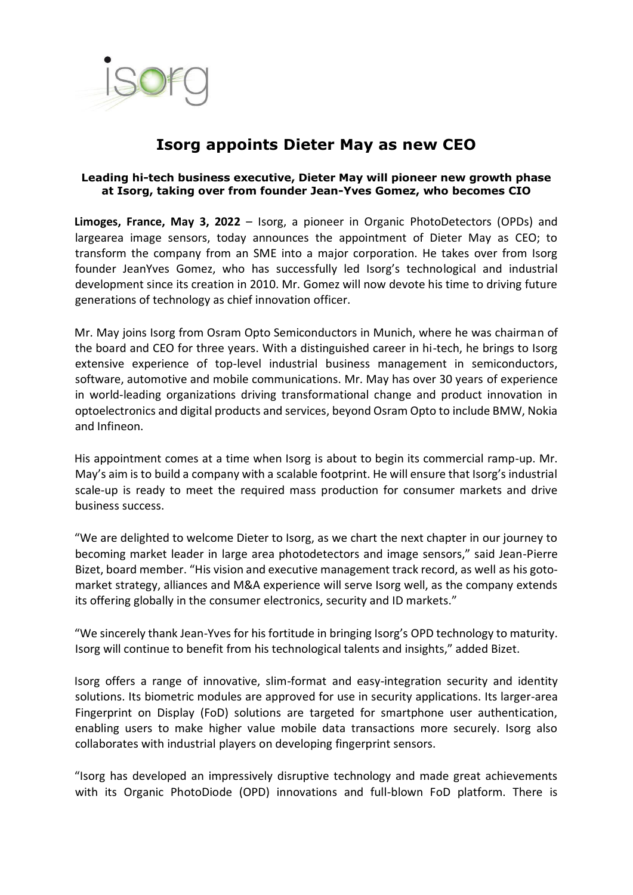

## **Isorg appoints Dieter May as new CEO**

## **Leading hi-tech business executive, Dieter May will pioneer new growth phase at Isorg, taking over from founder Jean-Yves Gomez, who becomes CIO**

**Limoges, France, May 3, 2022** – Isorg, a pioneer in Organic PhotoDetectors (OPDs) and largearea image sensors, today announces the appointment of Dieter May as CEO; to transform the company from an SME into a major corporation. He takes over from Isorg founder JeanYves Gomez, who has successfully led Isorg's technological and industrial development since its creation in 2010. Mr. Gomez will now devote his time to driving future generations of technology as chief innovation officer.

Mr. May joins Isorg from Osram Opto Semiconductors in Munich, where he was chairman of the board and CEO for three years. With a distinguished career in hi-tech, he brings to Isorg extensive experience of top-level industrial business management in semiconductors, software, automotive and mobile communications. Mr. May has over 30 years of experience in world-leading organizations driving transformational change and product innovation in optoelectronics and digital products and services, beyond Osram Opto to include BMW, Nokia and Infineon.

His appointment comes at a time when Isorg is about to begin its commercial ramp-up. Mr. May's aim is to build a company with a scalable footprint. He will ensure that Isorg's industrial scale-up is ready to meet the required mass production for consumer markets and drive business success.

"We are delighted to welcome Dieter to Isorg, as we chart the next chapter in our journey to becoming market leader in large area photodetectors and image sensors," said Jean-Pierre Bizet, board member. "His vision and executive management track record, as well as his gotomarket strategy, alliances and M&A experience will serve Isorg well, as the company extends its offering globally in the consumer electronics, security and ID markets."

"We sincerely thank Jean-Yves for his fortitude in bringing Isorg's OPD technology to maturity. Isorg will continue to benefit from his technological talents and insights," added Bizet.

Isorg offers a range of innovative, slim-format and easy-integration security and identity solutions. Its biometric modules are approved for use in security applications. Its larger-area Fingerprint on Display (FoD) solutions are targeted for smartphone user authentication, enabling users to make higher value mobile data transactions more securely. Isorg also collaborates with industrial players on developing fingerprint sensors.

"Isorg has developed an impressively disruptive technology and made great achievements with its Organic PhotoDiode (OPD) innovations and full-blown FoD platform. There is